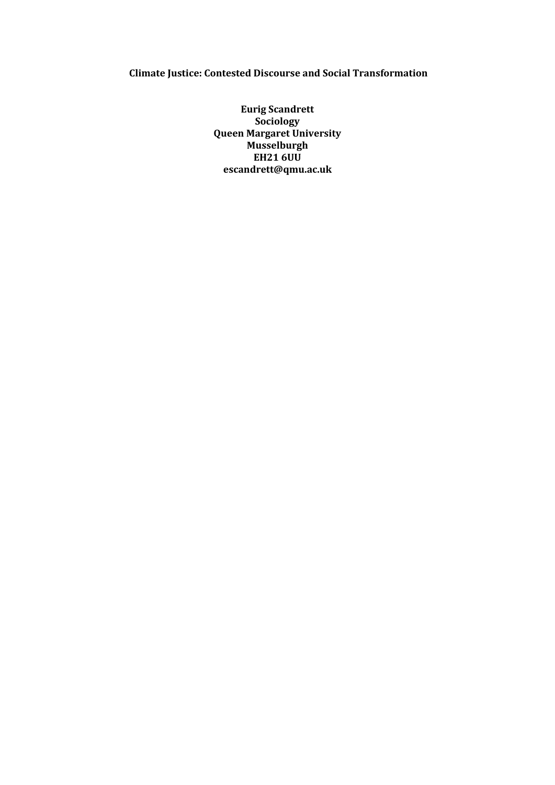## **Climate Justice: Contested Discourse and Social Transformation**

**Eurig Scandrett Sociology Queen Margaret University Musselburgh EH21 6UU escandrett@qmu.ac.uk**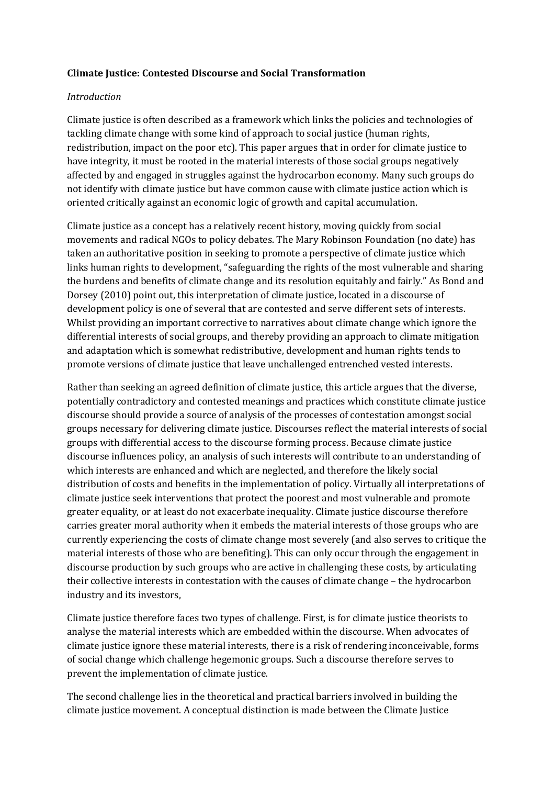## **Climate Justice: Contested Discourse and Social Transformation**

## *Introduction*

Climate justice is often described as a framework which links the policies and technologies of tackling climate change with some kind of approach to social justice (human rights, redistribution, impact on the poor etc). This paper argues that in order for climate justice to have integrity, it must be rooted in the material interests of those social groups negatively affected by and engaged in struggles against the hydrocarbon economy. Many such groups do not identify with climate justice but have common cause with climate justice action which is oriented critically against an economic logic of growth and capital accumulation.

Climate justice as a concept has a relatively recent history, moving quickly from social movements and radical NGOs to policy debates. The Mary Robinson Foundation (no date) has taken an authoritative position in seeking to promote a perspective of climate justice which links human rights to development, "safeguarding the rights of the most vulnerable and sharing the burdens and benefits of climate change and its resolution equitably and fairly." As Bond and Dorsey (2010) point out, this interpretation of climate justice, located in a discourse of development policy is one of several that are contested and serve different sets of interests. Whilst providing an important corrective to narratives about climate change which ignore the differential interests of social groups, and thereby providing an approach to climate mitigation and adaptation which is somewhat redistributive, development and human rights tends to promote versions of climate justice that leave unchallenged entrenched vested interests.

Rather than seeking an agreed definition of climate justice, this article argues that the diverse, potentially contradictory and contested meanings and practices which constitute climate justice discourse should provide a source of analysis of the processes of contestation amongst social groups necessary for delivering climate justice. Discourses reflect the material interests of social groups with differential access to the discourse forming process. Because climate justice discourse influences policy, an analysis of such interests will contribute to an understanding of which interests are enhanced and which are neglected, and therefore the likely social distribution of costs and benefits in the implementation of policy. Virtually all interpretations of climate justice seek interventions that protect the poorest and most vulnerable and promote greater equality, or at least do not exacerbate inequality. Climate justice discourse therefore carries greater moral authority when it embeds the material interests of those groups who are currently experiencing the costs of climate change most severely (and also serves to critique the material interests of those who are benefiting). This can only occur through the engagement in discourse production by such groups who are active in challenging these costs, by articulating their collective interests in contestation with the causes of climate change – the hydrocarbon industry and its investors,

Climate justice therefore faces two types of challenge. First, is for climate justice theorists to analyse the material interests which are embedded within the discourse. When advocates of climate justice ignore these material interests, there is a risk of rendering inconceivable, forms of social change which challenge hegemonic groups. Such a discourse therefore serves to prevent the implementation of climate justice.

The second challenge lies in the theoretical and practical barriers involved in building the climate justice movement. A conceptual distinction is made between the Climate Justice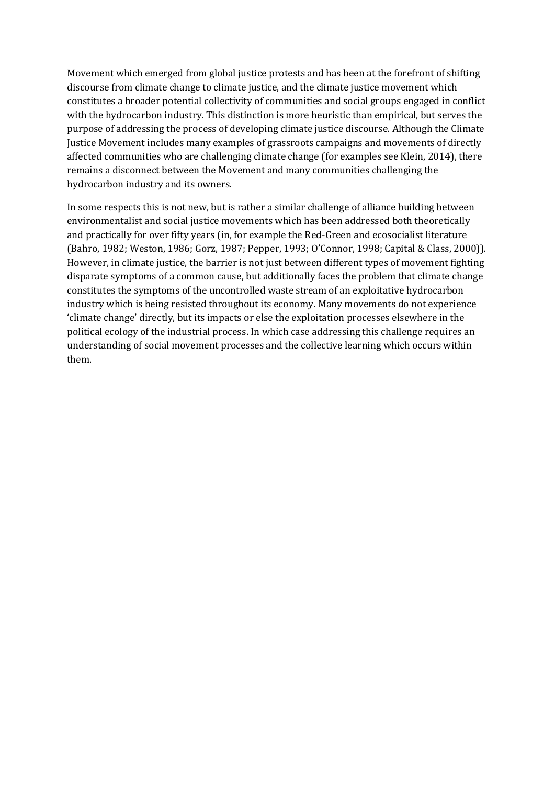Movement which emerged from global justice protests and has been at the forefront of shifting discourse from climate change to climate justice, and the climate justice movement which constitutes a broader potential collectivity of communities and social groups engaged in conflict with the hydrocarbon industry. This distinction is more heuristic than empirical, but serves the purpose of addressing the process of developing climate justice discourse. Although the Climate Justice Movement includes many examples of grassroots campaigns and movements of directly affected communities who are challenging climate change (for examples see Klein, 2014), there remains a disconnect between the Movement and many communities challenging the hydrocarbon industry and its owners.

In some respects this is not new, but is rather a similar challenge of alliance building between environmentalist and social justice movements which has been addressed both theoretically and practically for over fifty years (in, for example the Red-Green and ecosocialist literature (Bahro, 1982; Weston, 1986; Gorz, 1987; Pepper, 1993; O'Connor, 1998; Capital & Class, 2000)). However, in climate justice, the barrier is not just between different types of movement fighting disparate symptoms of a common cause, but additionally faces the problem that climate change constitutes the symptoms of the uncontrolled waste stream of an exploitative hydrocarbon industry which is being resisted throughout its economy. Many movements do not experience 'climate change' directly, but its impacts or else the exploitation processes elsewhere in the political ecology of the industrial process. In which case addressing this challenge requires an understanding of social movement processes and the collective learning which occurs within them.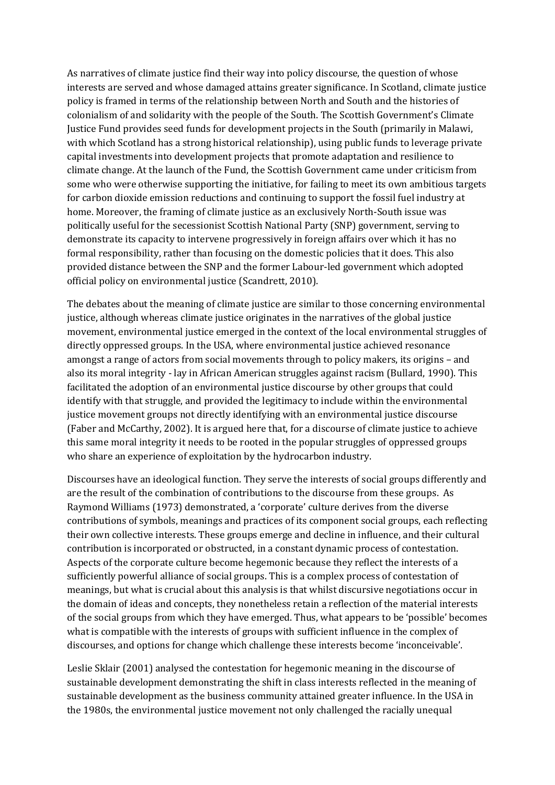As narratives of climate justice find their way into policy discourse, the question of whose interests are served and whose damaged attains greater significance. In Scotland, climate justice policy is framed in terms of the relationship between North and South and the histories of colonialism of and solidarity with the people of the South. The Scottish Government's Climate Justice Fund provides seed funds for development projects in the South (primarily in Malawi, with which Scotland has a strong historical relationship), using public funds to leverage private capital investments into development projects that promote adaptation and resilience to climate change. At the launch of the Fund, the Scottish Government came under criticism from some who were otherwise supporting the initiative, for failing to meet its own ambitious targets for carbon dioxide emission reductions and continuing to support the fossil fuel industry at home. Moreover, the framing of climate justice as an exclusively North-South issue was politically useful for the secessionist Scottish National Party (SNP) government, serving to demonstrate its capacity to intervene progressively in foreign affairs over which it has no formal responsibility, rather than focusing on the domestic policies that it does. This also provided distance between the SNP and the former Labour-led government which adopted official policy on environmental justice (Scandrett, 2010).

The debates about the meaning of climate justice are similar to those concerning environmental justice, although whereas climate justice originates in the narratives of the global justice movement, environmental justice emerged in the context of the local environmental struggles of directly oppressed groups. In the USA, where environmental justice achieved resonance amongst a range of actors from social movements through to policy makers, its origins – and also its moral integrity - lay in African American struggles against racism (Bullard, 1990). This facilitated the adoption of an environmental justice discourse by other groups that could identify with that struggle, and provided the legitimacy to include within the environmental justice movement groups not directly identifying with an environmental justice discourse (Faber and McCarthy, 2002). It is argued here that, for a discourse of climate justice to achieve this same moral integrity it needs to be rooted in the popular struggles of oppressed groups who share an experience of exploitation by the hydrocarbon industry.

Discourses have an ideological function. They serve the interests of social groups differently and are the result of the combination of contributions to the discourse from these groups. As Raymond Williams (1973) demonstrated, a 'corporate' culture derives from the diverse contributions of symbols, meanings and practices of its component social groups, each reflecting their own collective interests. These groups emerge and decline in influence, and their cultural contribution is incorporated or obstructed, in a constant dynamic process of contestation. Aspects of the corporate culture become hegemonic because they reflect the interests of a sufficiently powerful alliance of social groups. This is a complex process of contestation of meanings, but what is crucial about this analysis is that whilst discursive negotiations occur in the domain of ideas and concepts, they nonetheless retain a reflection of the material interests of the social groups from which they have emerged. Thus, what appears to be 'possible' becomes what is compatible with the interests of groups with sufficient influence in the complex of discourses, and options for change which challenge these interests become 'inconceivable'.

Leslie Sklair (2001) analysed the contestation for hegemonic meaning in the discourse of sustainable development demonstrating the shift in class interests reflected in the meaning of sustainable development as the business community attained greater influence. In the USA in the 1980s, the environmental justice movement not only challenged the racially unequal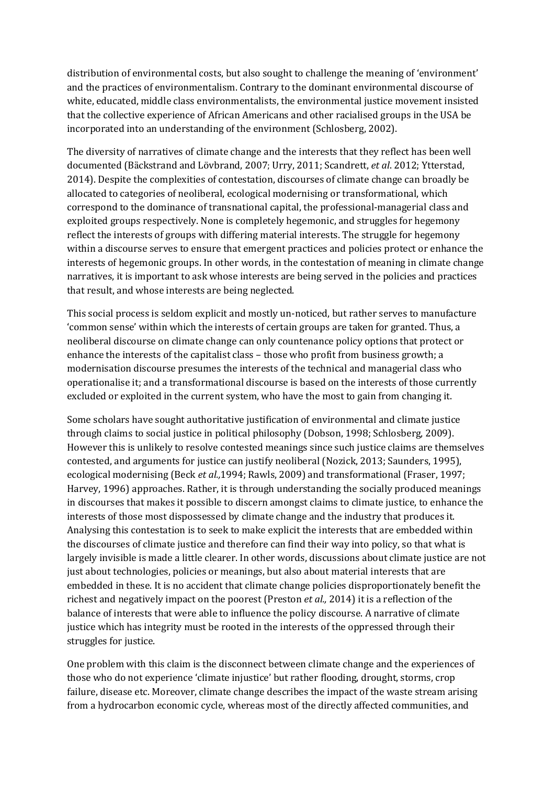distribution of environmental costs, but also sought to challenge the meaning of 'environment' and the practices of environmentalism. Contrary to the dominant environmental discourse of white, educated, middle class environmentalists, the environmental justice movement insisted that the collective experience of African Americans and other racialised groups in the USA be incorporated into an understanding of the environment (Schlosberg, 2002).

The diversity of narratives of climate change and the interests that they reflect has been well documented (Bȁckstrand and Lövbrand, 2007; Urry, 2011; Scandrett, *et al*. 2012; Ytterstad, 2014). Despite the complexities of contestation, discourses of climate change can broadly be allocated to categories of neoliberal, ecological modernising or transformational, which correspond to the dominance of transnational capital, the professional-managerial class and exploited groups respectively. None is completely hegemonic, and struggles for hegemony reflect the interests of groups with differing material interests. The struggle for hegemony within a discourse serves to ensure that emergent practices and policies protect or enhance the interests of hegemonic groups. In other words, in the contestation of meaning in climate change narratives, it is important to ask whose interests are being served in the policies and practices that result, and whose interests are being neglected.

This social process is seldom explicit and mostly un-noticed, but rather serves to manufacture 'common sense' within which the interests of certain groups are taken for granted. Thus, a neoliberal discourse on climate change can only countenance policy options that protect or enhance the interests of the capitalist class – those who profit from business growth; a modernisation discourse presumes the interests of the technical and managerial class who operationalise it; and a transformational discourse is based on the interests of those currently excluded or exploited in the current system, who have the most to gain from changing it.

Some scholars have sought authoritative justification of environmental and climate justice through claims to social justice in political philosophy (Dobson, 1998; Schlosberg, 2009). However this is unlikely to resolve contested meanings since such justice claims are themselves contested, and arguments for justice can justify neoliberal (Nozick, 2013; Saunders, 1995), ecological modernising (Beck *et al.,*1994; Rawls, 2009) and transformational (Fraser, 1997; Harvey, 1996) approaches. Rather, it is through understanding the socially produced meanings in discourses that makes it possible to discern amongst claims to climate justice, to enhance the interests of those most dispossessed by climate change and the industry that produces it. Analysing this contestation is to seek to make explicit the interests that are embedded within the discourses of climate justice and therefore can find their way into policy, so that what is largely invisible is made a little clearer. In other words, discussions about climate justice are not just about technologies, policies or meanings, but also about material interests that are embedded in these. It is no accident that climate change policies disproportionately benefit the richest and negatively impact on the poorest (Preston *et al.,* 2014) it is a reflection of the balance of interests that were able to influence the policy discourse. A narrative of climate justice which has integrity must be rooted in the interests of the oppressed through their struggles for justice.

One problem with this claim is the disconnect between climate change and the experiences of those who do not experience 'climate injustice' but rather flooding, drought, storms, crop failure, disease etc. Moreover, climate change describes the impact of the waste stream arising from a hydrocarbon economic cycle, whereas most of the directly affected communities, and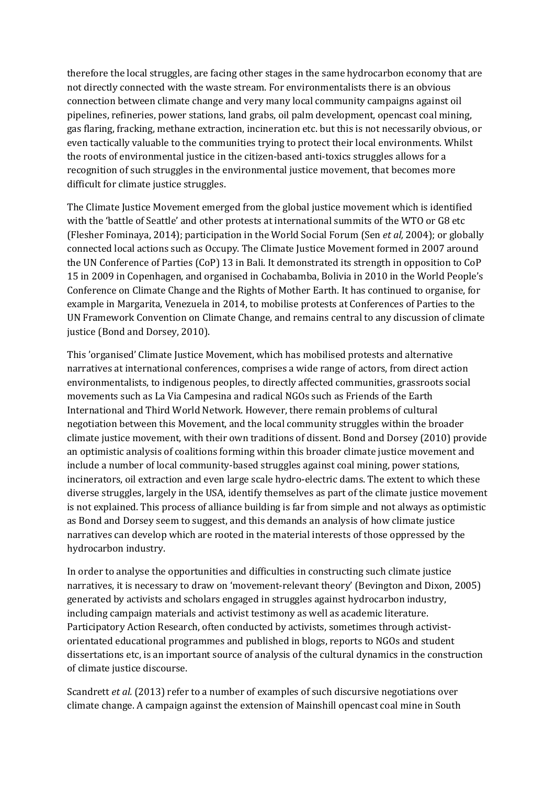therefore the local struggles, are facing other stages in the same hydrocarbon economy that are not directly connected with the waste stream. For environmentalists there is an obvious connection between climate change and very many local community campaigns against oil pipelines, refineries, power stations, land grabs, oil palm development, opencast coal mining, gas flaring, fracking, methane extraction, incineration etc. but this is not necessarily obvious, or even tactically valuable to the communities trying to protect their local environments. Whilst the roots of environmental justice in the citizen-based anti-toxics struggles allows for a recognition of such struggles in the environmental justice movement, that becomes more difficult for climate justice struggles.

The Climate Justice Movement emerged from the global justice movement which is identified with the 'battle of Seattle' and other protests at international summits of the WTO or G8 etc (Flesher Fominaya, 2014); participation in the World Social Forum (Sen *et al,* 2004); or globally connected local actions such as Occupy. The Climate Justice Movement formed in 2007 around the UN Conference of Parties (CoP) 13 in Bali. It demonstrated its strength in opposition to CoP 15 in 2009 in Copenhagen, and organised in Cochabamba, Bolivia in 2010 in the World People's Conference on Climate Change and the Rights of Mother Earth. It has continued to organise, for example in Margarita, Venezuela in 2014, to mobilise protests at Conferences of Parties to the UN Framework Convention on Climate Change, and remains central to any discussion of climate justice (Bond and Dorsey, 2010).

This 'organised' Climate Justice Movement, which has mobilised protests and alternative narratives at international conferences, comprises a wide range of actors, from direct action environmentalists, to indigenous peoples, to directly affected communities, grassroots social movements such as La Via Campesina and radical NGOs such as Friends of the Earth International and Third World Network. However, there remain problems of cultural negotiation between this Movement, and the local community struggles within the broader climate justice movement, with their own traditions of dissent. Bond and Dorsey (2010) provide an optimistic analysis of coalitions forming within this broader climate justice movement and include a number of local community-based struggles against coal mining, power stations, incinerators, oil extraction and even large scale hydro-electric dams. The extent to which these diverse struggles, largely in the USA, identify themselves as part of the climate justice movement is not explained. This process of alliance building is far from simple and not always as optimistic as Bond and Dorsey seem to suggest, and this demands an analysis of how climate justice narratives can develop which are rooted in the material interests of those oppressed by the hydrocarbon industry.

In order to analyse the opportunities and difficulties in constructing such climate justice narratives, it is necessary to draw on 'movement-relevant theory' (Bevington and Dixon, 2005) generated by activists and scholars engaged in struggles against hydrocarbon industry, including campaign materials and activist testimony as well as academic literature. Participatory Action Research, often conducted by activists, sometimes through activistorientated educational programmes and published in blogs, reports to NGOs and student dissertations etc, is an important source of analysis of the cultural dynamics in the construction of climate justice discourse.

Scandrett *et al.* (2013) refer to a number of examples of such discursive negotiations over climate change. A campaign against the extension of Mainshill opencast coal mine in South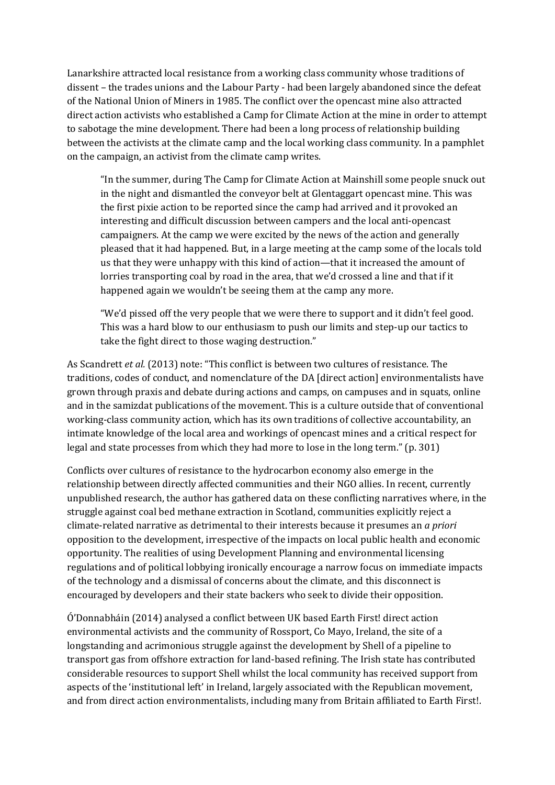Lanarkshire attracted local resistance from a working class community whose traditions of dissent – the trades unions and the Labour Party - had been largely abandoned since the defeat of the National Union of Miners in 1985. The conflict over the opencast mine also attracted direct action activists who established a Camp for Climate Action at the mine in order to attempt to sabotage the mine development. There had been a long process of relationship building between the activists at the climate camp and the local working class community. In a pamphlet on the campaign, an activist from the climate camp writes.

"In the summer, during The Camp for Climate Action at Mainshill some people snuck out in the night and dismantled the conveyor belt at Glentaggart opencast mine. This was the first pixie action to be reported since the camp had arrived and it provoked an interesting and difficult discussion between campers and the local anti-opencast campaigners. At the camp we were excited by the news of the action and generally pleased that it had happened. But, in a large meeting at the camp some of the locals told us that they were unhappy with this kind of action—that it increased the amount of lorries transporting coal by road in the area, that we'd crossed a line and that if it happened again we wouldn't be seeing them at the camp any more.

"We'd pissed off the very people that we were there to support and it didn't feel good. This was a hard blow to our enthusiasm to push our limits and step-up our tactics to take the fight direct to those waging destruction."

As Scandrett *et al.* (2013) note: "This conflict is between two cultures of resistance. The traditions, codes of conduct, and nomenclature of the DA [direct action] environmentalists have grown through praxis and debate during actions and camps, on campuses and in squats, online and in the samizdat publications of the movement. This is a culture outside that of conventional working-class community action, which has its own traditions of collective accountability, an intimate knowledge of the local area and workings of opencast mines and a critical respect for legal and state processes from which they had more to lose in the long term." (p. 301)

Conflicts over cultures of resistance to the hydrocarbon economy also emerge in the relationship between directly affected communities and their NGO allies. In recent, currently unpublished research, the author has gathered data on these conflicting narratives where, in the struggle against coal bed methane extraction in Scotland, communities explicitly reject a climate-related narrative as detrimental to their interests because it presumes an *a priori* opposition to the development, irrespective of the impacts on local public health and economic opportunity. The realities of using Development Planning and environmental licensing regulations and of political lobbying ironically encourage a narrow focus on immediate impacts of the technology and a dismissal of concerns about the climate, and this disconnect is encouraged by developers and their state backers who seek to divide their opposition.

Ó'Donnabháin (2014) analysed a conflict between UK based Earth First! direct action environmental activists and the community of Rossport, Co Mayo, Ireland, the site of a longstanding and acrimonious struggle against the development by Shell of a pipeline to transport gas from offshore extraction for land-based refining. The Irish state has contributed considerable resources to support Shell whilst the local community has received support from aspects of the 'institutional left' in Ireland, largely associated with the Republican movement, and from direct action environmentalists, including many from Britain affiliated to Earth First!.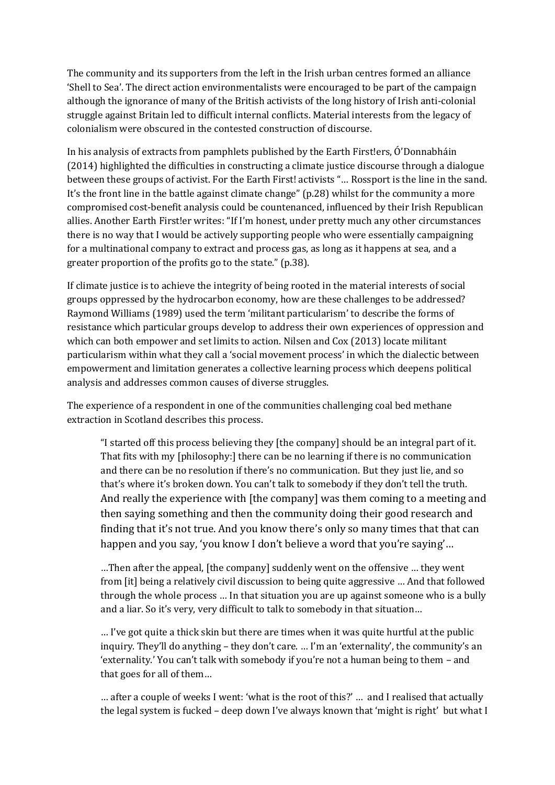The community and its supporters from the left in the Irish urban centres formed an alliance 'Shell to Sea'. The direct action environmentalists were encouraged to be part of the campaign although the ignorance of many of the British activists of the long history of Irish anti-colonial struggle against Britain led to difficult internal conflicts. Material interests from the legacy of colonialism were obscured in the contested construction of discourse.

In his analysis of extracts from pamphlets published by the Earth First!ers, Ó'Donnabháin (2014) highlighted the difficulties in constructing a climate justice discourse through a dialogue between these groups of activist. For the Earth First! activists "… Rossport is the line in the sand. It's the front line in the battle against climate change" (p.28) whilst for the community a more compromised cost-benefit analysis could be countenanced, influenced by their Irish Republican allies. Another Earth First!er writes: "If I'm honest, under pretty much any other circumstances there is no way that I would be actively supporting people who were essentially campaigning for a multinational company to extract and process gas, as long as it happens at sea, and a greater proportion of the profits go to the state." (p.38).

If climate justice is to achieve the integrity of being rooted in the material interests of social groups oppressed by the hydrocarbon economy, how are these challenges to be addressed? Raymond Williams (1989) used the term 'militant particularism' to describe the forms of resistance which particular groups develop to address their own experiences of oppression and which can both empower and set limits to action. Nilsen and Cox (2013) locate militant particularism within what they call a 'social movement process' in which the dialectic between empowerment and limitation generates a collective learning process which deepens political analysis and addresses common causes of diverse struggles.

The experience of a respondent in one of the communities challenging coal bed methane extraction in Scotland describes this process.

"I started off this process believing they [the company] should be an integral part of it. That fits with my [philosophy:] there can be no learning if there is no communication and there can be no resolution if there's no communication. But they just lie, and so that's where it's broken down. You can't talk to somebody if they don't tell the truth. And really the experience with [the company] was them coming to a meeting and then saying something and then the community doing their good research and finding that it's not true. And you know there's only so many times that that can happen and you say, 'you know I don't believe a word that you're saying'…

…Then after the appeal, [the company] suddenly went on the offensive … they went from [it] being a relatively civil discussion to being quite aggressive … And that followed through the whole process … In that situation you are up against someone who is a bully and a liar. So it's very, very difficult to talk to somebody in that situation…

… I've got quite a thick skin but there are times when it was quite hurtful at the public inquiry. They'll do anything – they don't care. … I'm an 'externality', the community's an 'externality.' You can't talk with somebody if you're not a human being to them – and that goes for all of them…

… after a couple of weeks I went: 'what is the root of this?' … and I realised that actually the legal system is fucked – deep down I've always known that 'might is right' but what I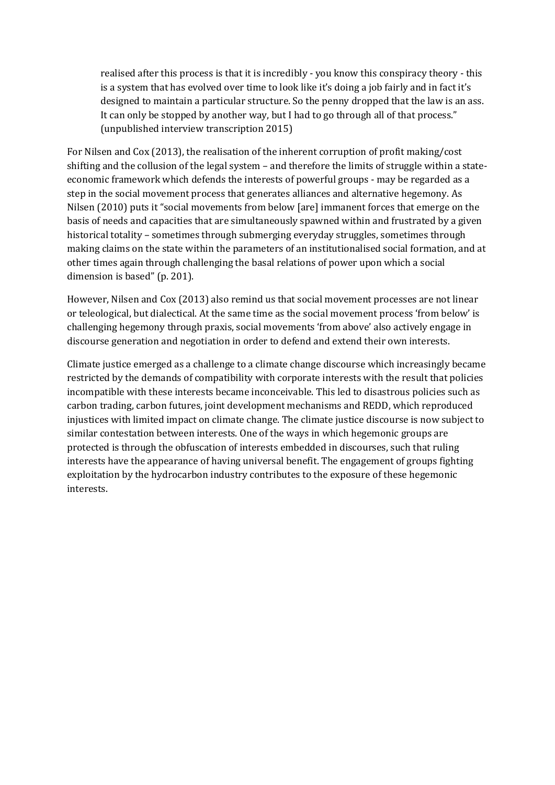realised after this process is that it is incredibly - you know this conspiracy theory - this is a system that has evolved over time to look like it's doing a job fairly and in fact it's designed to maintain a particular structure. So the penny dropped that the law is an ass. It can only be stopped by another way, but I had to go through all of that process." (unpublished interview transcription 2015)

For Nilsen and Cox (2013), the realisation of the inherent corruption of profit making/cost shifting and the collusion of the legal system – and therefore the limits of struggle within a stateeconomic framework which defends the interests of powerful groups - may be regarded as a step in the social movement process that generates alliances and alternative hegemony. As Nilsen (2010) puts it "social movements from below [are] immanent forces that emerge on the basis of needs and capacities that are simultaneously spawned within and frustrated by a given historical totality – sometimes through submerging everyday struggles, sometimes through making claims on the state within the parameters of an institutionalised social formation, and at other times again through challenging the basal relations of power upon which a social dimension is based" (p. 201).

However, Nilsen and Cox (2013) also remind us that social movement processes are not linear or teleological, but dialectical. At the same time as the social movement process 'from below' is challenging hegemony through praxis, social movements 'from above' also actively engage in discourse generation and negotiation in order to defend and extend their own interests.

Climate justice emerged as a challenge to a climate change discourse which increasingly became restricted by the demands of compatibility with corporate interests with the result that policies incompatible with these interests became inconceivable. This led to disastrous policies such as carbon trading, carbon futures, joint development mechanisms and REDD, which reproduced injustices with limited impact on climate change. The climate justice discourse is now subject to similar contestation between interests. One of the ways in which hegemonic groups are protected is through the obfuscation of interests embedded in discourses, such that ruling interests have the appearance of having universal benefit. The engagement of groups fighting exploitation by the hydrocarbon industry contributes to the exposure of these hegemonic interests.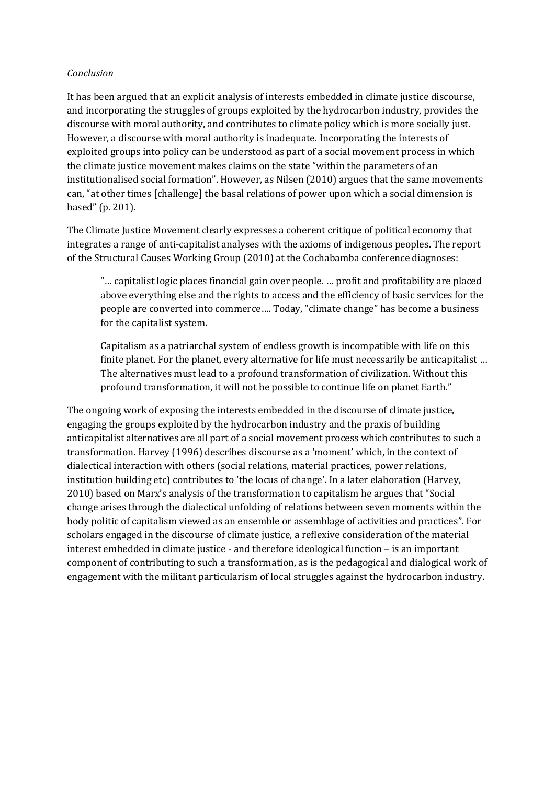## *Conclusion*

It has been argued that an explicit analysis of interests embedded in climate justice discourse, and incorporating the struggles of groups exploited by the hydrocarbon industry, provides the discourse with moral authority, and contributes to climate policy which is more socially just. However, a discourse with moral authority is inadequate. Incorporating the interests of exploited groups into policy can be understood as part of a social movement process in which the climate justice movement makes claims on the state "within the parameters of an institutionalised social formation". However, as Nilsen (2010) argues that the same movements can, "at other times [challenge] the basal relations of power upon which a social dimension is based" (p. 201).

The Climate Justice Movement clearly expresses a coherent critique of political economy that integrates a range of anti-capitalist analyses with the axioms of indigenous peoples. The report of the Structural Causes Working Group (2010) at the Cochabamba conference diagnoses:

"… capitalist logic places financial gain over people. … profit and profitability are placed above everything else and the rights to access and the efficiency of basic services for the people are converted into commerce…. Today, "climate change" has become a business for the capitalist system.

Capitalism as a patriarchal system of endless growth is incompatible with life on this finite planet. For the planet, every alternative for life must necessarily be anticapitalist … The alternatives must lead to a profound transformation of civilization. Without this profound transformation, it will not be possible to continue life on planet Earth."

The ongoing work of exposing the interests embedded in the discourse of climate justice, engaging the groups exploited by the hydrocarbon industry and the praxis of building anticapitalist alternatives are all part of a social movement process which contributes to such a transformation. Harvey (1996) describes discourse as a 'moment' which, in the context of dialectical interaction with others (social relations, material practices, power relations, institution building etc) contributes to 'the locus of change'. In a later elaboration (Harvey, 2010) based on Marx's analysis of the transformation to capitalism he argues that "Social change arises through the dialectical unfolding of relations between seven moments within the body politic of capitalism viewed as an ensemble or assemblage of activities and practices". For scholars engaged in the discourse of climate justice, a reflexive consideration of the material interest embedded in climate justice - and therefore ideological function – is an important component of contributing to such a transformation, as is the pedagogical and dialogical work of engagement with the militant particularism of local struggles against the hydrocarbon industry.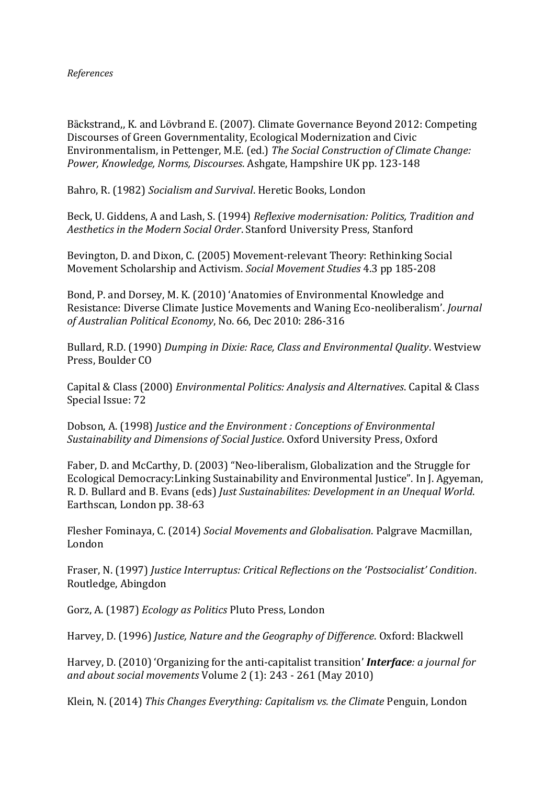Bȁckstrand,, K. and Lövbrand E. (2007). Climate Governance Beyond 2012: Competing Discourses of Green Governmentality, Ecological Modernization and Civic Environmentalism, in Pettenger, M.E. (ed.) *The Social Construction of Climate Change: Power, Knowledge, Norms, Discourses*. Ashgate, Hampshire UK pp. 123-148

Bahro, R. (1982) *Socialism and Survival*. Heretic Books, London

Beck, U. Giddens, A and Lash, S. (1994) *Reflexive modernisation: Politics, Tradition and Aesthetics in the Modern Social Order*. Stanford University Press, Stanford

Bevington, D. and Dixon, C. (2005) Movement-relevant Theory: Rethinking Social Movement Scholarship and Activism. *Social Movement Studies* 4.3 pp 185-208

Bond, P. and Dorsey, M. K. (2010) 'Anatomies of Environmental Knowledge and Resistance: Diverse Climate Justice Movements and Waning Eco-neoliberalism'. *Journal of Australian Political Economy*, No. 66, Dec 2010: 286-316

Bullard, R.D. (1990) *Dumping in Dixie: Race, Class and Environmental Quality*. Westview Press, Boulder CO

Capital & Class (2000) *Environmental Politics: Analysis and Alternatives*. Capital & Class Special Issue: 72

Dobson, A. (1998) *Justice and the Environment : Conceptions of Environmental Sustainability and Dimensions of Social Justice*. Oxford University Press, Oxford

Faber, D. and McCarthy, D. (2003) "Neo-liberalism, Globalization and the Struggle for Ecological Democracy:Linking Sustainability and Environmental Justice". In J. Agyeman, R. D. Bullard and B. Evans (eds) *Just Sustainabilites: Development in an Unequal World*. Earthscan, London pp. 38-63

Flesher Fominaya, C. (2014) *Social Movements and Globalisation*. Palgrave Macmillan, London

Fraser, N. (1997) *Justice Interruptus: Critical Reflections on the 'Postsocialist' Condition*. Routledge, Abingdon

Gorz, A. (1987) *Ecology as Politics* Pluto Press, London

Harvey, D. (1996) *Justice, Nature and the Geography of Difference*. Oxford: Blackwell

Harvey, D. (2010) 'Organizing for the anti-capitalist transition' *Interface: a journal for and about social movements* Volume 2 (1): 243 - 261 (May 2010)

Klein, N. (2014) *This Changes Everything: Capitalism vs. the Climate* Penguin, London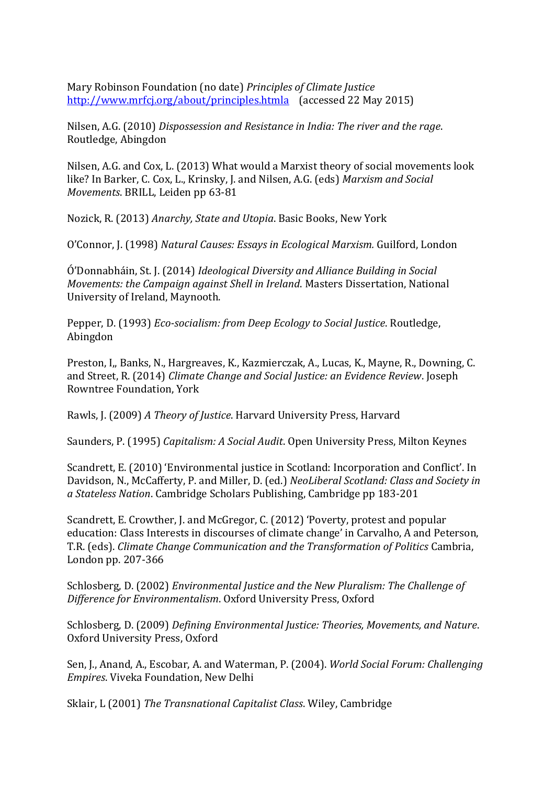Mary Robinson Foundation (no date) *Principles of Climate Justice* <http://www.mrfcj.org/about/principles.htmla> (accessed 22 May 2015)

Nilsen, A.G. (2010) *Dispossession and Resistance in India: The river and the rage*. Routledge, Abingdon

Nilsen, A.G. and Cox, L. (2013) What would a Marxist theory of social movements look like? In Barker, C. Cox, L., Krinsky, J. and Nilsen, A.G. (eds) *Marxism and Social Movements*. BRILL, Leiden pp 63-81

Nozick, R. (2013) *Anarchy, State and Utopia*. Basic Books, New York

O'Connor, J. (1998) *Natural Causes: Essays in Ecological Marxism.* Guilford, London

Ó'Donnabháin, St. J. (2014) *Ideological Diversity and Alliance Building in Social Movements: the Campaign against Shell in Ireland*. Masters Dissertation, National University of Ireland, Maynooth.

Pepper, D. (1993) *Eco-socialism: from Deep Ecology to Social Justice*. Routledge, Abingdon

Preston, I,, Banks, N., Hargreaves, K., Kazmierczak, A., Lucas, K., Mayne, R., Downing, C. and Street, R. (2014) *Climate Change and Social Justice: an Evidence Review*. Joseph Rowntree Foundation, York

Rawls, J. (2009) *A Theory of Justice*. Harvard University Press, Harvard

Saunders, P. (1995) *Capitalism: A Social Audit*. Open University Press, Milton Keynes

Scandrett, E. (2010) 'Environmental justice in Scotland: Incorporation and Conflict'. In Davidson, N., McCafferty, P. and Miller, D. (ed.) *NeoLiberal Scotland: Class and Society in a Stateless Nation*. Cambridge Scholars Publishing, Cambridge pp 183-201

Scandrett, E. Crowther, J. and McGregor, C. (2012) 'Poverty, protest and popular education: Class Interests in discourses of climate change' in Carvalho, A and Peterson, T.R. (eds). *Climate Change Communication and the Transformation of Politics* Cambria, London pp. 207-366

Schlosberg, D. (2002) *Environmental Justice and the New Pluralism: The Challenge of Difference for Environmentalism*. Oxford University Press, Oxford

Schlosberg, D. (2009) *Defining Environmental Justice: Theories, Movements, and Nature*. Oxford University Press, Oxford

Sen, J., Anand, A., Escobar, A. and Waterman, P. (2004). *World Social Forum: Challenging Empires*. Viveka Foundation, New Delhi

Sklair, L (2001) *The Transnational Capitalist Class*. Wiley, Cambridge